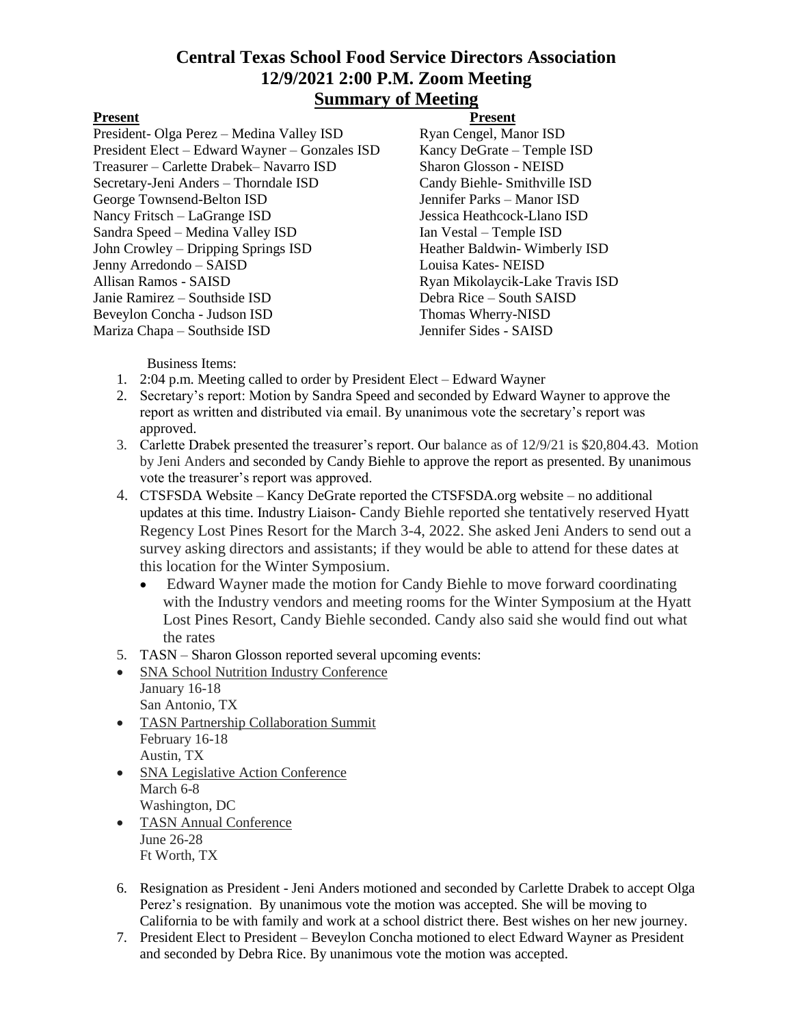# **Central Texas School Food Service Directors Association 12/9/2021 2:00 P.M. Zoom Meeting Summary of Meeting**

President- Olga Perez – Medina Valley ISD Ryan Cengel, Manor ISD President Elect – Edward Wayner – Gonzales ISD Kancy DeGrate – Temple ISD Treasurer – Carlette Drabek– Navarro ISD Sharon Glosson - NEISD Secretary-Jeni Anders – Thorndale ISD Candy Biehle- Smithville ISD George Townsend-Belton ISD Jennifer Parks – Manor ISD Nancy Fritsch – LaGrange ISD Jessica Heathcock-Llano ISD Sandra Speed – Medina Valley ISD Ian Vestal – Temple ISD John Crowley – Dripping Springs ISD Heather Baldwin- Wimberly ISD Jenny Arredondo – SAISD Louisa Kates- NEISD Allisan Ramos - SAISD **Ryan Mikolaycik-Lake Travis ISD** Janie Ramirez – Southside ISD Debra Rice – South SAISD Beveylon Concha - Judson ISD Thomas Wherry-NISD Mariza Chapa – Southside ISD Jennifer Sides - SAISD

## Present Present

Business Items:

- 1. 2:04 p.m. Meeting called to order by President Elect Edward Wayner
- 2. Secretary's report: Motion by Sandra Speed and seconded by Edward Wayner to approve the report as written and distributed via email. By unanimous vote the secretary's report was approved.
- 3. Carlette Drabek presented the treasurer's report. Our balance as of 12/9/21 is \$20,804.43. Motion by Jeni Anders and seconded by Candy Biehle to approve the report as presented. By unanimous vote the treasurer's report was approved.
- 4. CTSFSDA Website Kancy DeGrate reported the CTSFSDA.org website no additional updates at this time. Industry Liaison- Candy Biehle reported she tentatively reserved Hyatt Regency Lost Pines Resort for the March 3-4, 2022. She asked Jeni Anders to send out a survey asking directors and assistants; if they would be able to attend for these dates at this location for the Winter Symposium.
	- Edward Wayner made the motion for Candy Biehle to move forward coordinating with the Industry vendors and meeting rooms for the Winter Symposium at the Hyatt Lost Pines Resort, Candy Biehle seconded. Candy also said she would find out what the rates
- 5. TASN Sharon Glosson reported several upcoming events:
- SNA School Nutrition Industry Conference January 16-18 San Antonio, TX TASN Partnership Collaboration Summit
- February 16-18 Austin, TX
- SNA Legislative Action Conference March 6-8 Washington, DC
- TASN Annual Conference June 26-28 Ft Worth, TX
- 6. Resignation as President Jeni Anders motioned and seconded by Carlette Drabek to accept Olga Perez's resignation. By unanimous vote the motion was accepted. She will be moving to California to be with family and work at a school district there. Best wishes on her new journey.
- 7. President Elect to President Beveylon Concha motioned to elect Edward Wayner as President and seconded by Debra Rice. By unanimous vote the motion was accepted.